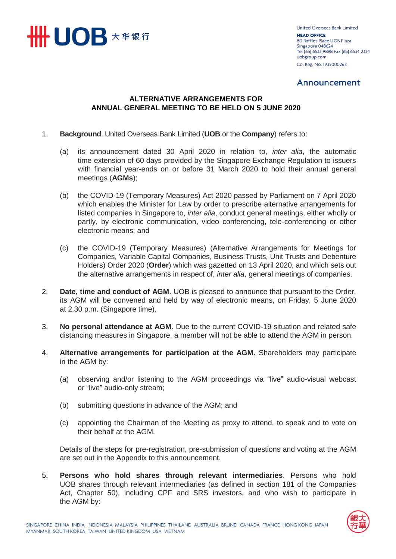

United Overseas Bank Limited **HEAD OFFICE** 80 Raffles Place UOB Plaza Singapore 048624 Tel (65) 6533 9898 Fax (65) 6534 2334 uobgroup.com Co. Reg. No. 193500026Z

### Announcement

### **ALTERNATIVE ARRANGEMENTS FOR ANNUAL GENERAL MEETING TO BE HELD ON 5 JUNE 2020**

### 1. **Background**. United Overseas Bank Limited (**UOB** or the **Company**) refers to:

- (a) its announcement dated 30 April 2020 in relation to, *inter alia*, the automatic time extension of 60 days provided by the Singapore Exchange Regulation to issuers with financial year-ends on or before 31 March 2020 to hold their annual general meetings (**AGMs**);
- (b) the COVID-19 (Temporary Measures) Act 2020 passed by Parliament on 7 April 2020 which enables the Minister for Law by order to prescribe alternative arrangements for listed companies in Singapore to, *inter alia*, conduct general meetings, either wholly or partly, by electronic communication, video conferencing, tele-conferencing or other electronic means; and
- (c) the COVID-19 (Temporary Measures) (Alternative Arrangements for Meetings for Companies, Variable Capital Companies, Business Trusts, Unit Trusts and Debenture Holders) Order 2020 (**Order**) which was gazetted on 13 April 2020, and which sets out the alternative arrangements in respect of, *inter alia*, general meetings of companies.
- 2. **Date, time and conduct of AGM**. UOB is pleased to announce that pursuant to the Order, its AGM will be convened and held by way of electronic means, on Friday, 5 June 2020 at 2.30 p.m. (Singapore time).
- 3. **No personal attendance at AGM**. Due to the current COVID-19 situation and related safe distancing measures in Singapore, a member will not be able to attend the AGM in person.
- 4. **Alternative arrangements for participation at the AGM**. Shareholders may participate in the AGM by:
	- (a) observing and/or listening to the AGM proceedings via "live" audio-visual webcast or "live" audio-only stream;
	- (b) submitting questions in advance of the AGM; and
	- (c) appointing the Chairman of the Meeting as proxy to attend, to speak and to vote on their behalf at the AGM.

Details of the steps for pre-registration, pre-submission of questions and voting at the AGM are set out in the Appendix to this announcement.

5. **Persons who hold shares through relevant intermediaries**. Persons who hold UOB shares through relevant intermediaries (as defined in section 181 of the Companies Act, Chapter 50), including CPF and SRS investors, and who wish to participate in the AGM by:

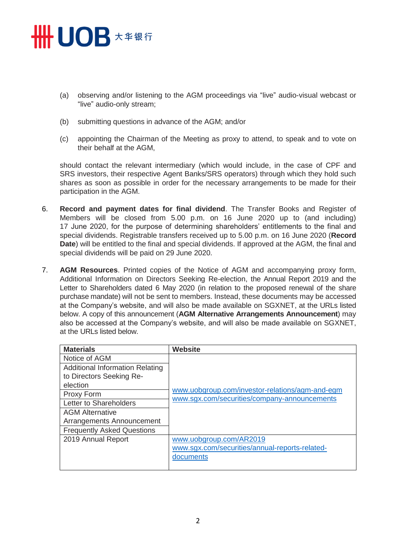### **HHUOB**  $\star$  # \$ 6

- (a) observing and/or listening to the AGM proceedings via "live" audio-visual webcast or "live" audio-only stream;
- (b) submitting questions in advance of the AGM; and/or
- (c) appointing the Chairman of the Meeting as proxy to attend, to speak and to vote on their behalf at the AGM,

should contact the relevant intermediary (which would include, in the case of CPF and SRS investors, their respective Agent Banks/SRS operators) through which they hold such shares as soon as possible in order for the necessary arrangements to be made for their participation in the AGM.

- 6. **Record and payment dates for final dividend**. The Transfer Books and Register of Members will be closed from 5.00 p.m. on 16 June 2020 up to (and including) 17 June 2020, for the purpose of determining shareholders' entitlements to the final and special dividends. Registrable transfers received up to 5.00 p.m. on 16 June 2020 (**Record Date**) will be entitled to the final and special dividends. If approved at the AGM, the final and special dividends will be paid on 29 June 2020.
- 7. **AGM Resources**. Printed copies of the Notice of AGM and accompanying proxy form, Additional Information on Directors Seeking Re-election, the Annual Report 2019 and the Letter to Shareholders dated 6 May 2020 (in relation to the proposed renewal of the share purchase mandate) will not be sent to members. Instead, these documents may be accessed at the Company's website, and will also be made available on SGXNET, at the URLs listed below. A copy of this announcement (**AGM Alternative Arrangements Announcement**) may also be accessed at the Company's website, and will also be made available on SGXNET, at the URLs listed below.

| <b>Materials</b>                       | <b>Website</b>                                  |
|----------------------------------------|-------------------------------------------------|
| Notice of AGM                          |                                                 |
| <b>Additional Information Relating</b> |                                                 |
| to Directors Seeking Re-               |                                                 |
| election                               | www.uobgroup.com/investor-relations/agm-and-egm |
| Proxy Form                             | www.sgx.com/securities/company-announcements    |
| Letter to Shareholders                 |                                                 |
| <b>AGM Alternative</b>                 |                                                 |
| Arrangements Announcement              |                                                 |
| <b>Frequently Asked Questions</b>      |                                                 |
| 2019 Annual Report                     | www.uobgroup.com/AR2019                         |
|                                        | www.sgx.com/securities/annual-reports-related-  |
|                                        | documents                                       |
|                                        |                                                 |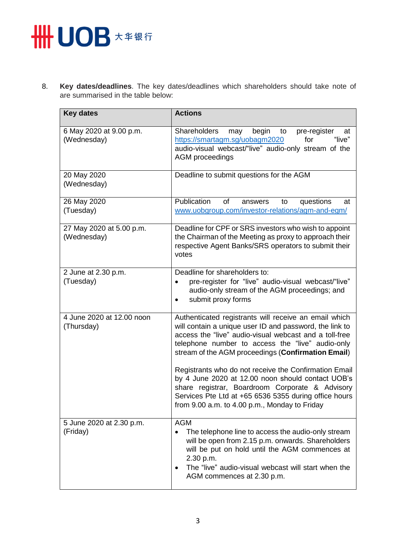# **HH UOB \*\*\*\***

8. **Key dates/deadlines**. The key dates/deadlines which shareholders should take note of are summarised in the table below:

| <b>Key dates</b>                        | <b>Actions</b>                                                                                                                                                                                                                                                                                                                                                                                                                                                                                                                                                  |
|-----------------------------------------|-----------------------------------------------------------------------------------------------------------------------------------------------------------------------------------------------------------------------------------------------------------------------------------------------------------------------------------------------------------------------------------------------------------------------------------------------------------------------------------------------------------------------------------------------------------------|
| 6 May 2020 at 9.00 p.m.<br>(Wednesday)  | begin<br><b>Shareholders</b><br>pre-register<br>may<br>to<br>at<br>https://smartagm.sg/uobagm2020<br>for<br>"live"<br>audio-visual webcast/"live" audio-only stream of the<br>AGM proceedings                                                                                                                                                                                                                                                                                                                                                                   |
| 20 May 2020<br>(Wednesday)              | Deadline to submit questions for the AGM                                                                                                                                                                                                                                                                                                                                                                                                                                                                                                                        |
| 26 May 2020<br>(Tuesday)                | Publication<br>of<br>questions<br>answers<br>to<br>at<br>www.uobgroup.com/investor-relations/agm-and-egm/                                                                                                                                                                                                                                                                                                                                                                                                                                                       |
| 27 May 2020 at 5.00 p.m.<br>(Wednesday) | Deadline for CPF or SRS investors who wish to appoint<br>the Chairman of the Meeting as proxy to approach their<br>respective Agent Banks/SRS operators to submit their<br>votes                                                                                                                                                                                                                                                                                                                                                                                |
| 2 June at 2.30 p.m.<br>(Tuesday)        | Deadline for shareholders to:<br>pre-register for "live" audio-visual webcast/"live"<br>$\bullet$<br>audio-only stream of the AGM proceedings; and<br>submit proxy forms<br>$\bullet$                                                                                                                                                                                                                                                                                                                                                                           |
| 4 June 2020 at 12.00 noon<br>(Thursday) | Authenticated registrants will receive an email which<br>will contain a unique user ID and password, the link to<br>access the "live" audio-visual webcast and a toll-free<br>telephone number to access the "live" audio-only<br>stream of the AGM proceedings (Confirmation Email)<br>Registrants who do not receive the Confirmation Email<br>by 4 June 2020 at 12.00 noon should contact UOB's<br>share registrar, Boardroom Corporate & Advisory<br>Services Pte Ltd at +65 6536 5355 during office hours<br>from 9.00 a.m. to 4.00 p.m., Monday to Friday |
| 5 June 2020 at 2.30 p.m.<br>(Friday)    | <b>AGM</b><br>The telephone line to access the audio-only stream<br>will be open from 2.15 p.m. onwards. Shareholders<br>will be put on hold until the AGM commences at<br>2.30 p.m.<br>The "live" audio-visual webcast will start when the<br>$\bullet$<br>AGM commences at 2.30 p.m.                                                                                                                                                                                                                                                                          |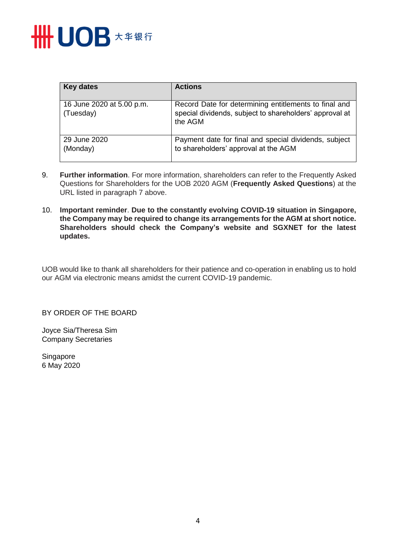

| <b>Key dates</b>                       | <b>Actions</b>                                                                                                              |
|----------------------------------------|-----------------------------------------------------------------------------------------------------------------------------|
| 16 June 2020 at 5.00 p.m.<br>(Tuesday) | Record Date for determining entitlements to final and<br>special dividends, subject to shareholders' approval at<br>the AGM |
| 29 June 2020<br>(Monday)               | Payment date for final and special dividends, subject<br>to shareholders' approval at the AGM                               |

- 9. **Further information**. For more information, shareholders can refer to the Frequently Asked Questions for Shareholders for the UOB 2020 AGM (**Frequently Asked Questions**) at the URL listed in paragraph 7 above.
- 10. **Important reminder**. **Due to the constantly evolving COVID-19 situation in Singapore, the Company may be required to change its arrangements for the AGM at short notice. Shareholders should check the Company's website and SGXNET for the latest updates.**

UOB would like to thank all shareholders for their patience and co-operation in enabling us to hold our AGM via electronic means amidst the current COVID-19 pandemic.

BY ORDER OF THE BOARD

Joyce Sia/Theresa Sim Company Secretaries

Singapore 6 May 2020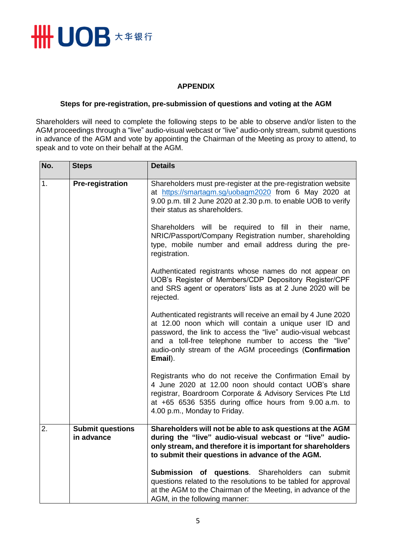

### **APPENDIX**

### **Steps for pre-registration, pre-submission of questions and voting at the AGM**

Shareholders will need to complete the following steps to be able to observe and/or listen to the AGM proceedings through a "live" audio-visual webcast or "live" audio-only stream, submit questions in advance of the AGM and vote by appointing the Chairman of the Meeting as proxy to attend, to speak and to vote on their behalf at the AGM.

| No.                           | <b>Steps</b>                                                                                                                                                                                                               | <b>Details</b>                                                                                                                                                                                                                                                                                                        |
|-------------------------------|----------------------------------------------------------------------------------------------------------------------------------------------------------------------------------------------------------------------------|-----------------------------------------------------------------------------------------------------------------------------------------------------------------------------------------------------------------------------------------------------------------------------------------------------------------------|
| <b>Pre-registration</b><br>1. | Shareholders must pre-register at the pre-registration website<br>at https://smartagm.sg/uobagm2020 from 6 May 2020 at<br>9.00 p.m. till 2 June 2020 at 2.30 p.m. to enable UOB to verify<br>their status as shareholders. |                                                                                                                                                                                                                                                                                                                       |
|                               | Shareholders will be required to fill in their name,<br>NRIC/Passport/Company Registration number, shareholding<br>type, mobile number and email address during the pre-<br>registration.                                  |                                                                                                                                                                                                                                                                                                                       |
|                               |                                                                                                                                                                                                                            | Authenticated registrants whose names do not appear on<br>UOB's Register of Members/CDP Depository Register/CPF<br>and SRS agent or operators' lists as at 2 June 2020 will be<br>rejected.                                                                                                                           |
|                               |                                                                                                                                                                                                                            | Authenticated registrants will receive an email by 4 June 2020<br>at 12.00 noon which will contain a unique user ID and<br>password, the link to access the "live" audio-visual webcast<br>and a toll-free telephone number to access the "live"<br>audio-only stream of the AGM proceedings (Confirmation<br>Email). |
|                               |                                                                                                                                                                                                                            | Registrants who do not receive the Confirmation Email by<br>4 June 2020 at 12.00 noon should contact UOB's share<br>registrar, Boardroom Corporate & Advisory Services Pte Ltd<br>at +65 6536 5355 during office hours from 9.00 a.m. to<br>4.00 p.m., Monday to Friday.                                              |
| 2.                            | <b>Submit questions</b><br>in advance                                                                                                                                                                                      | Shareholders will not be able to ask questions at the AGM<br>during the "live" audio-visual webcast or "live" audio-<br>only stream, and therefore it is important for shareholders<br>to submit their questions in advance of the AGM.                                                                               |
|                               |                                                                                                                                                                                                                            | Submission of questions. Shareholders can submit<br>questions related to the resolutions to be tabled for approval<br>at the AGM to the Chairman of the Meeting, in advance of the<br>AGM, in the following manner:                                                                                                   |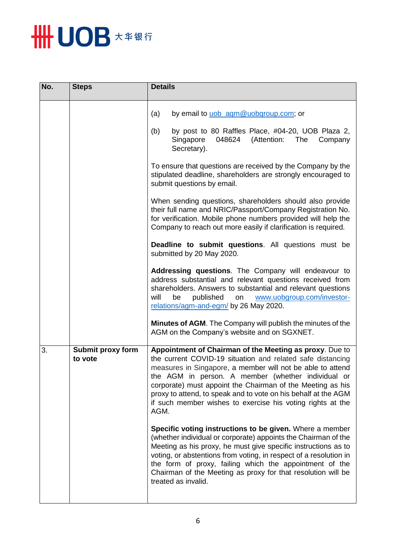

| No. | <b>Steps</b>                 | <b>Details</b>                                                                                                                                                                                                                                                                                                                                                                                                                                  |
|-----|------------------------------|-------------------------------------------------------------------------------------------------------------------------------------------------------------------------------------------------------------------------------------------------------------------------------------------------------------------------------------------------------------------------------------------------------------------------------------------------|
|     |                              | (a)<br>by email to uob_agm@uobgroup.com; or                                                                                                                                                                                                                                                                                                                                                                                                     |
|     |                              | by post to 80 Raffles Place, #04-20, UOB Plaza 2,<br>(b)<br>(Attention:<br>Singapore<br>048624<br>The<br>Company<br>Secretary).                                                                                                                                                                                                                                                                                                                 |
|     |                              | To ensure that questions are received by the Company by the<br>stipulated deadline, shareholders are strongly encouraged to<br>submit questions by email.                                                                                                                                                                                                                                                                                       |
|     |                              | When sending questions, shareholders should also provide<br>their full name and NRIC/Passport/Company Registration No.<br>for verification. Mobile phone numbers provided will help the<br>Company to reach out more easily if clarification is required.                                                                                                                                                                                       |
|     |                              | Deadline to submit questions. All questions must be<br>submitted by 20 May 2020.                                                                                                                                                                                                                                                                                                                                                                |
|     |                              | Addressing questions. The Company will endeavour to<br>address substantial and relevant questions received from<br>shareholders. Answers to substantial and relevant questions<br>published<br>will<br>be<br>www.uobgroup.com/investor-<br>on<br>relations/agm-and-egm/ by 26 May 2020.                                                                                                                                                         |
|     |                              | Minutes of AGM. The Company will publish the minutes of the<br>AGM on the Company's website and on SGXNET.                                                                                                                                                                                                                                                                                                                                      |
| 3.  | Submit proxy form<br>to vote | Appointment of Chairman of the Meeting as proxy. Due to<br>the current COVID-19 situation and related safe distancing<br>measures in Singapore, a member will not be able to attend<br>the AGM in person. A member (whether individual or<br>corporate) must appoint the Chairman of the Meeting as his<br>proxy to attend, to speak and to vote on his behalf at the AGM<br>if such member wishes to exercise his voting rights at the<br>AGM. |
|     |                              | Specific voting instructions to be given. Where a member<br>(whether individual or corporate) appoints the Chairman of the<br>Meeting as his proxy, he must give specific instructions as to<br>voting, or abstentions from voting, in respect of a resolution in<br>the form of proxy, failing which the appointment of the<br>Chairman of the Meeting as proxy for that resolution will be<br>treated as invalid.                             |